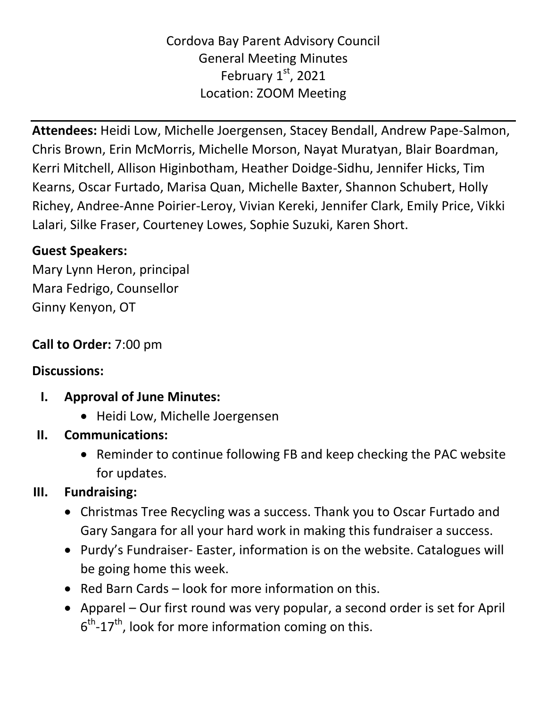## Cordova Bay Parent Advisory Council General Meeting Minutes February  $1<sup>st</sup>$ , 2021 Location: ZOOM Meeting

**Attendees:** Heidi Low, Michelle Joergensen, Stacey Bendall, Andrew Pape-Salmon, Chris Brown, Erin McMorris, Michelle Morson, Nayat Muratyan, Blair Boardman, Kerri Mitchell, Allison Higinbotham, Heather Doidge-Sidhu, Jennifer Hicks, Tim Kearns, Oscar Furtado, Marisa Quan, Michelle Baxter, Shannon Schubert, Holly Richey, Andree-Anne Poirier-Leroy, Vivian Kereki, Jennifer Clark, Emily Price, Vikki Lalari, Silke Fraser, Courteney Lowes, Sophie Suzuki, Karen Short.

## **Guest Speakers:**

Mary Lynn Heron, principal Mara Fedrigo, Counsellor Ginny Kenyon, OT

## **Call to Order:** 7:00 pm

#### **Discussions:**

- **I. Approval of June Minutes:** 
	- Heidi Low, Michelle Joergensen
- **II. Communications:**
	- Reminder to continue following FB and keep checking the PAC website for updates.

# **III. Fundraising:**

- Christmas Tree Recycling was a success. Thank you to Oscar Furtado and Gary Sangara for all your hard work in making this fundraiser a success.
- Purdy's Fundraiser- Easter, information is on the website. Catalogues will be going home this week.
- Red Barn Cards look for more information on this.
- Apparel Our first round was very popular, a second order is set for April  $6^{\text{th}}$ -17<sup>th</sup>, look for more information coming on this.